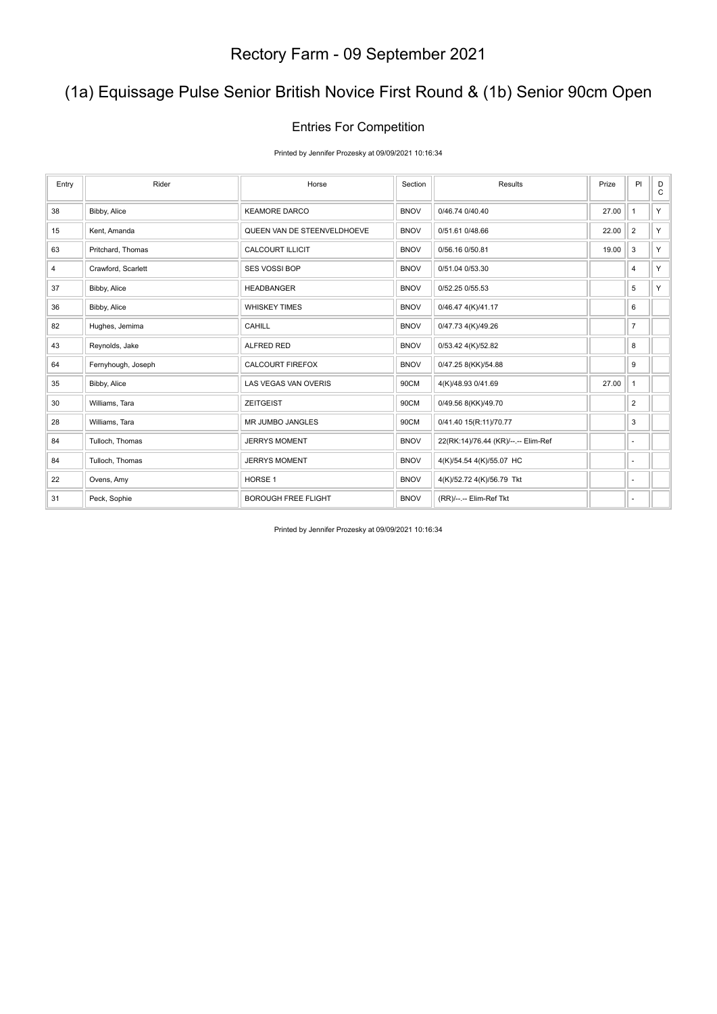## (1a) Equissage Pulse Senior British Novice First Round & (1b) Senior 90cm Open

#### Entries For Competition

Printed by Jennifer Prozesky at 09/09/2021 10:16:34

| Entry | Rider              | Horse                       | Section     | Results                             | Prize | PI                       | D<br>$\mathsf{C}$ |
|-------|--------------------|-----------------------------|-------------|-------------------------------------|-------|--------------------------|-------------------|
| 38    | Bibby, Alice       | <b>KEAMORE DARCO</b>        | <b>BNOV</b> | 0/46.74 0/40.40                     | 27.00 | $\mathbf{1}$             | Y.                |
| 15    | Kent, Amanda       | QUEEN VAN DE STEENVELDHOEVE | <b>BNOV</b> | 0/51.61 0/48.66                     | 22.00 | $\overline{2}$           | Y.                |
| 63    | Pritchard, Thomas  | <b>CALCOURT ILLICIT</b>     | <b>BNOV</b> | 0/56.16 0/50.81                     | 19.00 | 3                        | Y.                |
| 4     | Crawford, Scarlett | <b>SES VOSSI BOP</b>        | <b>BNOV</b> | 0/51.04 0/53.30                     |       | 4                        | Y.                |
| 37    | Bibby, Alice       | <b>HEADBANGER</b>           | <b>BNOV</b> | 0/52.25 0/55.53                     |       | 5                        | Y.                |
| 36    | Bibby, Alice       | <b>WHISKEY TIMES</b>        | <b>BNOV</b> | 0/46.47 4(K)/41.17                  |       | 6                        |                   |
| 82    | Hughes, Jemima     | CAHILL                      | <b>BNOV</b> | 0/47.73 4(K)/49.26                  |       | $\overline{7}$           |                   |
| 43    | Reynolds, Jake     | <b>ALFRED RED</b>           | <b>BNOV</b> | 0/53.42 4(K)/52.82                  |       | 8                        |                   |
| 64    | Fernyhough, Joseph | <b>CALCOURT FIREFOX</b>     | <b>BNOV</b> | 0/47.25 8(KK)/54.88                 |       | 9                        |                   |
| 35    | Bibby, Alice       | LAS VEGAS VAN OVERIS        | 90CM        | 4(K)/48.93 0/41.69                  | 27.00 | $\mathbf{1}$             |                   |
| 30    | Williams, Tara     | <b>ZEITGEIST</b>            | 90CM        | 0/49.56 8(KK)/49.70                 |       | $\overline{2}$           |                   |
| 28    | Williams, Tara     | <b>MR JUMBO JANGLES</b>     | 90CM        | 0/41.40 15(R:11)/70.77              |       | 3                        |                   |
| 84    | Tulloch, Thomas    | <b>JERRYS MOMENT</b>        | <b>BNOV</b> | 22(RK:14)/76.44 (KR)/--.-- Elim-Ref |       | $\sim$                   |                   |
| 84    | Tulloch, Thomas    | <b>JERRYS MOMENT</b>        | <b>BNOV</b> | 4(K)/54.54 4(K)/55.07 HC            |       | $\sim$                   |                   |
| 22    | Ovens, Amy         | HORSE <sub>1</sub>          | <b>BNOV</b> | 4(K)/52.72 4(K)/56.79 Tkt           |       | $\overline{\phantom{a}}$ |                   |
| 31    | Peck, Sophie       | <b>BOROUGH FREE FLIGHT</b>  | <b>BNOV</b> | (RR)/--.-- Elim-Ref Tkt             |       | ٠                        |                   |

Printed by Jennifer Prozesky at 09/09/2021 10:16:34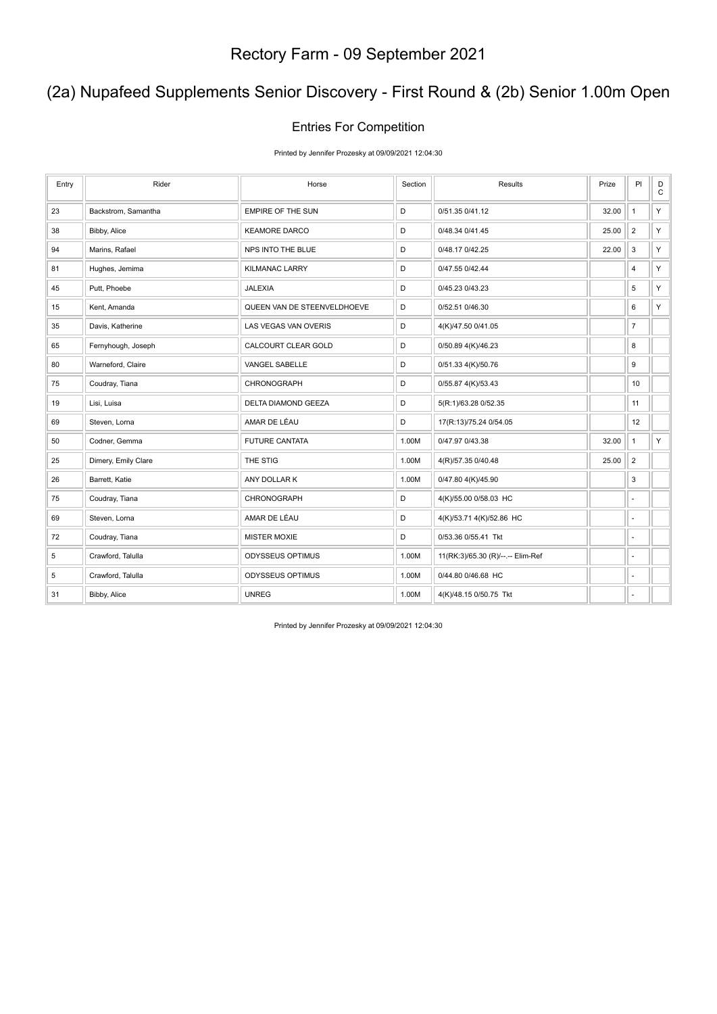## (2a) Nupafeed Supplements Senior Discovery - First Round & (2b) Senior 1.00m Open

#### Entries For Competition

Printed by Jennifer Prozesky at 09/09/2021 12:04:30

| Entry | Rider               | Horse                       | Section | Results                           | Prize | PI                       | $_{\rm C}^{\rm D}$ |
|-------|---------------------|-----------------------------|---------|-----------------------------------|-------|--------------------------|--------------------|
| 23    | Backstrom, Samantha | <b>EMPIRE OF THE SUN</b>    | D       | 0/51.35 0/41.12                   | 32.00 | $\mathbf{1}$             | Y                  |
| 38    | Bibby, Alice        | <b>KEAMORE DARCO</b>        | D       | 0/48.34 0/41.45                   | 25.00 | $\overline{2}$           | Y                  |
| 94    | Marins, Rafael      | NPS INTO THE BLUE           | D       | 0/48.17 0/42.25                   | 22.00 | $\mathsf 3$              | Y.                 |
| 81    | Hughes, Jemima      | <b>KILMANAC LARRY</b>       | D       | 0/47.55 0/42.44                   |       | 4                        | Y.                 |
| 45    | Putt, Phoebe        | <b>JALEXIA</b>              | D       | 0/45.23 0/43.23                   |       | 5                        | Y                  |
| 15    | Kent, Amanda        | QUEEN VAN DE STEENVELDHOEVE | D       | 0/52.51 0/46.30                   |       | 6                        | Y.                 |
| 35    | Davis, Katherine    | LAS VEGAS VAN OVERIS        | D       | 4(K)/47.50 0/41.05                |       | $\overline{7}$           |                    |
| 65    | Fernyhough, Joseph  | CALCOURT CLEAR GOLD         | D       | 0/50.89 4(K)/46.23                |       | 8                        |                    |
| 80    | Warneford, Claire   | VANGEL SABELLE              | D       | 0/51.33 4(K)/50.76                |       | 9                        |                    |
| 75    | Coudray, Tiana      | CHRONOGRAPH                 | D       | 0/55.87 4(K)/53.43                |       | 10                       |                    |
| 19    | Lisi, Luisa         | DELTA DIAMOND GEEZA         | D       | 5(R:1)/63.28 0/52.35              |       | 11                       |                    |
| 69    | Steven, Lorna       | AMAR DE LÉAU                | D       | 17(R:13)/75.24 0/54.05            |       | 12                       |                    |
| 50    | Codner, Gemma       | FUTURE CANTATA              | 1.00M   | 0/47.97 0/43.38                   | 32.00 | $\mathbf{1}$             | Y.                 |
| 25    | Dimery, Emily Clare | THE STIG                    | 1.00M   | 4(R)/57.35 0/40.48                | 25.00 | $\overline{2}$           |                    |
| 26    | Barrett, Katie      | ANY DOLLAR K                | 1.00M   | 0/47.80 4(K)/45.90                |       | 3                        |                    |
| 75    | Coudray, Tiana      | CHRONOGRAPH                 | D       | 4(K)/55.00 0/58.03 HC             |       | ٠                        |                    |
| 69    | Steven, Lorna       | AMAR DE LÉAU                | D       | 4(K)/53.71 4(K)/52.86 HC          |       | $\overline{\phantom{a}}$ |                    |
| 72    | Coudray, Tiana      | <b>MISTER MOXIE</b>         | D       | 0/53.36 0/55.41 Tkt               |       | ÷,                       |                    |
| 5     | Crawford, Talulla   | ODYSSEUS OPTIMUS            | 1.00M   | 11(RK:3)/65.30 (R)/--.-- Elim-Ref |       | $\sim$                   |                    |
| 5     | Crawford, Talulla   | ODYSSEUS OPTIMUS            | 1.00M   | 0/44.80 0/46.68 HC                |       | ÷,                       |                    |
| 31    | Bibby, Alice        | <b>UNREG</b>                | 1.00M   | 4(K)/48.15 0/50.75 Tkt            |       | ٠                        |                    |

Printed by Jennifer Prozesky at 09/09/2021 12:04:30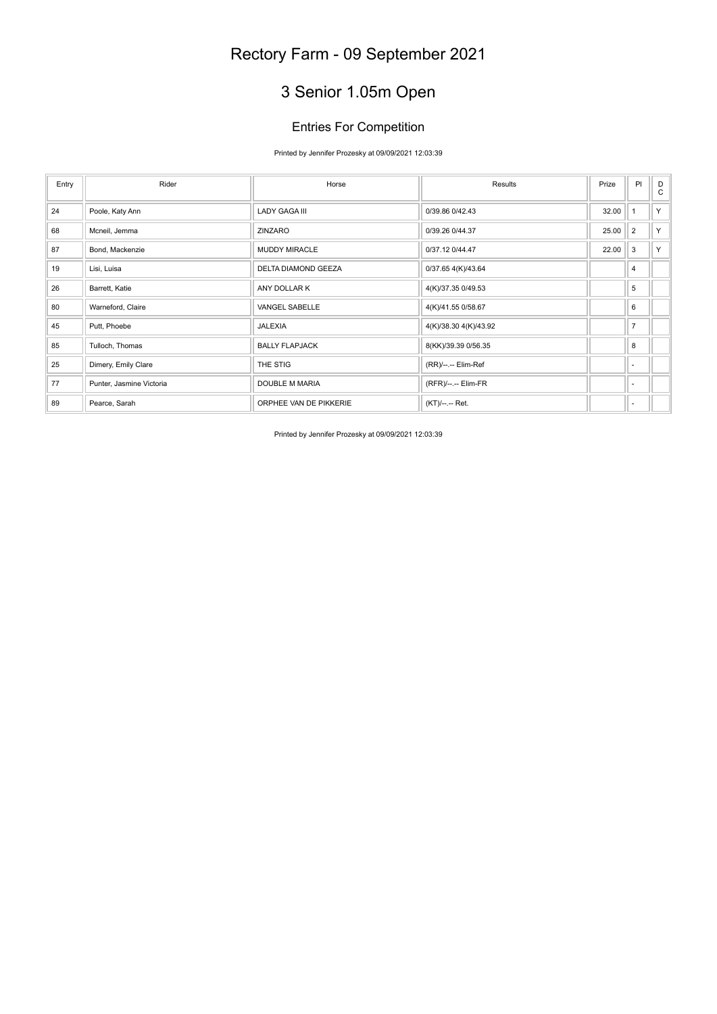# 3 Senior 1.05m Open

#### Entries For Competition

#### Printed by Jennifer Prozesky at 09/09/2021 12:03:39

| Entry | Rider                    | Horse                  | Results               | Prize | P                        | D<br>$\mathbf{C}$ |
|-------|--------------------------|------------------------|-----------------------|-------|--------------------------|-------------------|
| 24    | Poole, Katy Ann          | <b>LADY GAGA III</b>   | 0/39.86 0/42.43       | 32.00 |                          | Y                 |
| 68    | Mcneil, Jemma            | ZINZARO                | 0/39.26 0/44.37       | 25.00 | $\overline{2}$           | Y                 |
| 87    | Bond, Mackenzie          | <b>MUDDY MIRACLE</b>   | 0/37.12 0/44.47       | 22.00 | 3                        | Y                 |
| 19    | Lisi, Luisa              | DELTA DIAMOND GEEZA    | 0/37.65 4(K)/43.64    |       | 4                        |                   |
| 26    | Barrett, Katie           | ANY DOLLAR K           | 4(K)/37.35 0/49.53    |       | 5                        |                   |
| 80    | Warneford, Claire        | VANGEL SABELLE         | 4(K)/41.55 0/58.67    |       | 6                        |                   |
| 45    | Putt, Phoebe             | JALEXIA                | 4(K)/38.30 4(K)/43.92 |       | $\overline{7}$           |                   |
| 85    | Tulloch, Thomas          | <b>BALLY FLAPJACK</b>  | 8(KK)/39.39 0/56.35   |       | 8                        |                   |
| 25    | Dimery, Emily Clare      | THE STIG               | (RR)/--.-- Elim-Ref   |       | $\sim$                   |                   |
| 77    | Punter, Jasmine Victoria | DOUBLE M MARIA         | (RFR)/--.-- Elim-FR   |       | $\overline{\phantom{a}}$ |                   |
| 89    | Pearce, Sarah            | ORPHEE VAN DE PIKKERIE | (KT)/--.-- Ret.       |       | ÷                        |                   |

Printed by Jennifer Prozesky at 09/09/2021 12:03:39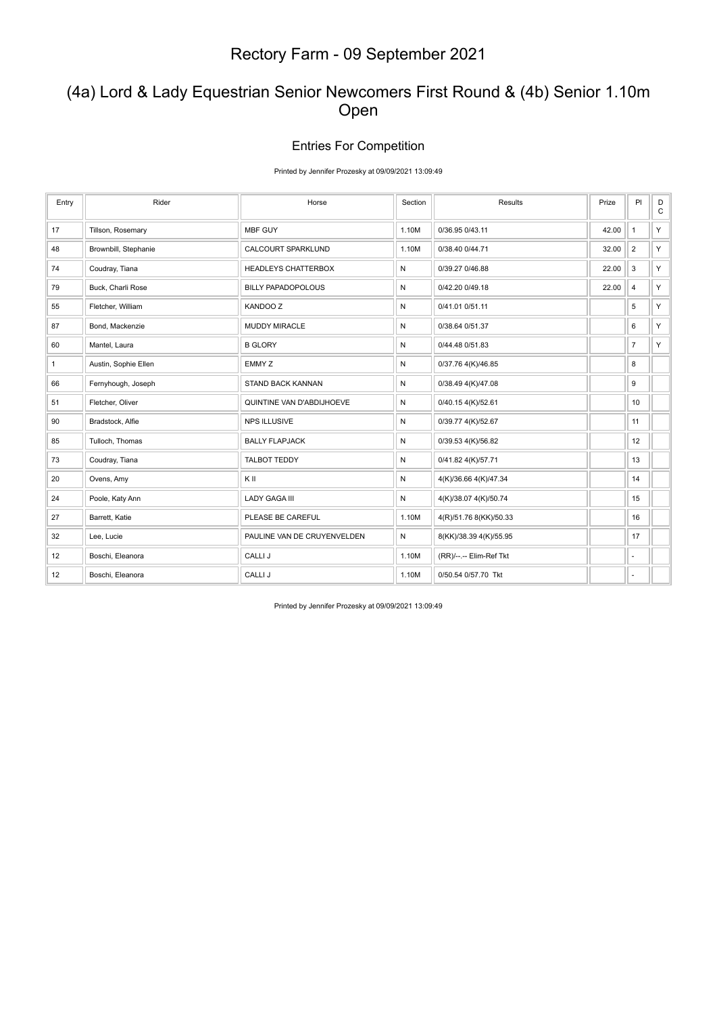### (4a) Lord & Lady Equestrian Senior Newcomers First Round & (4b) Senior 1.10m Open

#### Entries For Competition

Printed by Jennifer Prozesky at 09/09/2021 13:09:49

| Entry        | Rider                | Horse                       | Section      | Results                 | Prize | PI             | D<br>$\mathtt{C}$ |
|--------------|----------------------|-----------------------------|--------------|-------------------------|-------|----------------|-------------------|
| 17           | Tillson, Rosemary    | MBF GUY                     | 1.10M        | 0/36.95 0/43.11         | 42.00 | $\mathbf{1}$   | Y                 |
| 48           | Brownbill, Stephanie | CALCOURT SPARKLUND          | 1.10M        | 0/38.40 0/44.71         | 32.00 | $\overline{2}$ | Y.                |
| 74           | Coudray, Tiana       | HEADLEYS CHATTERBOX         | $\mathsf{N}$ | 0/39.27 0/46.88         | 22.00 | 3              | Y.                |
| 79           | Buck, Charli Rose    | <b>BILLY PAPADOPOLOUS</b>   | $\mathsf{N}$ | 0/42.20 0/49.18         | 22.00 | $\overline{4}$ | Y.                |
| 55           | Fletcher, William    | <b>KANDOO Z</b>             | N            | 0/41.01 0/51.11         |       | 5              | Y.                |
| 87           | Bond, Mackenzie      | MUDDY MIRACLE               | N            | 0/38.64 0/51.37         |       | 6              | Y.                |
| 60           | Mantel, Laura        | <b>B GLORY</b>              | $\mathsf{N}$ | 0/44.48 0/51.83         |       | $\overline{7}$ | Y                 |
| $\mathbf{1}$ | Austin, Sophie Ellen | EMMY Z                      | N            | 0/37.76 4(K)/46.85      |       | 8              |                   |
| 66           | Fernyhough, Joseph   | <b>STAND BACK KANNAN</b>    | $\mathsf{N}$ | 0/38.49 4(K)/47.08      |       | 9              |                   |
| 51           | Fletcher, Oliver     | QUINTINE VAN D'ABDIJHOEVE   | $\mathsf{N}$ | 0/40.15 4(K)/52.61      |       | 10             |                   |
| 90           | Bradstock, Alfie     | <b>NPS ILLUSIVE</b>         | $\mathsf{N}$ | 0/39.77 4(K)/52.67      |       | 11             |                   |
| 85           | Tulloch, Thomas      | <b>BALLY FLAPJACK</b>       | $\mathsf{N}$ | 0/39.53 4(K)/56.82      |       | 12             |                   |
| 73           | Coudray, Tiana       | <b>TALBOT TEDDY</b>         | N            | 0/41.82 4(K)/57.71      |       | 13             |                   |
| 20           | Ovens, Amy           | KII                         | $\mathsf{N}$ | 4(K)/36.66 4(K)/47.34   |       | 14             |                   |
| 24           | Poole, Katy Ann      | <b>LADY GAGA III</b>        | N            | 4(K)/38.07 4(K)/50.74   |       | 15             |                   |
| 27           | Barrett, Katie       | PLEASE BE CAREFUL           | 1.10M        | 4(R)/51.76 8(KK)/50.33  |       | 16             |                   |
| 32           | Lee, Lucie           | PAULINE VAN DE CRUYENVELDEN | $\mathsf{N}$ | 8(KK)/38.39 4(K)/55.95  |       | 17             |                   |
| 12           | Boschi, Eleanora     | CALLI J                     | 1.10M        | (RR)/--.-- Elim-Ref Tkt |       | ٠              |                   |
| 12           | Boschi, Eleanora     | CALLI J                     | 1.10M        | 0/50.54 0/57.70 Tkt     |       | $\sim$         |                   |

Printed by Jennifer Prozesky at 09/09/2021 13:09:49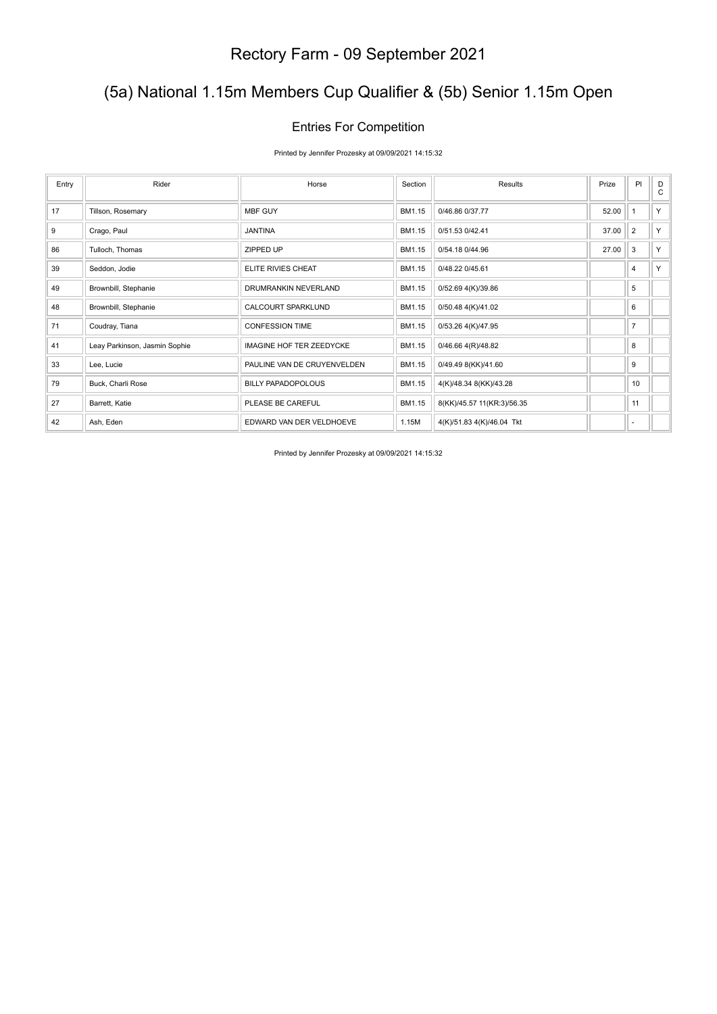## (5a) National 1.15m Members Cup Qualifier & (5b) Senior 1.15m Open

#### Entries For Competition

Printed by Jennifer Prozesky at 09/09/2021 14:15:32

| Entry | Rider                         | Horse                           | Section | Results                    | Prize | PI             | D<br>C |
|-------|-------------------------------|---------------------------------|---------|----------------------------|-------|----------------|--------|
| 17    | Tillson, Rosemary             | <b>MBF GUY</b>                  | BM1.15  | 0/46.86 0/37.77            | 52.00 | $\overline{1}$ | Y.     |
| 9     | Crago, Paul                   | <b>JANTINA</b>                  | BM1.15  | 0/51.53 0/42.41            | 37.00 | $\overline{2}$ | Y.     |
| 86    | Tulloch, Thomas               | ZIPPED UP                       | BM1.15  | 0/54.18 0/44.96            | 27.00 | $\mathbf{3}$   | Y.     |
| 39    | Seddon, Jodie                 | ELITE RIVIES CHEAT              | BM1.15  | 0/48.22 0/45.61            |       | 4              | Y.     |
| 49    | Brownbill, Stephanie          | DRUMRANKIN NEVERLAND            | BM1.15  | 0/52.69 4(K)/39.86         |       | 5              |        |
| 48    | Brownbill, Stephanie          | <b>CALCOURT SPARKLUND</b>       | BM1.15  | 0/50.48 4(K)/41.02         |       | 6              |        |
| 71    | Coudray, Tiana                | <b>CONFESSION TIME</b>          | BM1.15  | 0/53.26 4(K)/47.95         |       | $\overline{7}$ |        |
| 41    | Leay Parkinson, Jasmin Sophie | <b>IMAGINE HOF TER ZEEDYCKE</b> | BM1.15  | 0/46.66 4(R)/48.82         |       | 8              |        |
| 33    | Lee, Lucie                    | PAULINE VAN DE CRUYENVELDEN     | BM1.15  | 0/49.49 8(KK)/41.60        |       | 9              |        |
| 79    | Buck, Charli Rose             | <b>BILLY PAPADOPOLOUS</b>       | BM1.15  | 4(K)/48.34 8(KK)/43.28     |       | 10             |        |
| 27    | Barrett, Katie                | PLEASE BE CAREFUL               | BM1.15  | 8(KK)/45.57 11(KR:3)/56.35 |       | 11             |        |
| 42    | Ash, Eden                     | EDWARD VAN DER VELDHOEVE        | 1.15M   | 4(K)/51.83 4(K)/46.04 Tkt  |       | ٠              |        |

Printed by Jennifer Prozesky at 09/09/2021 14:15:32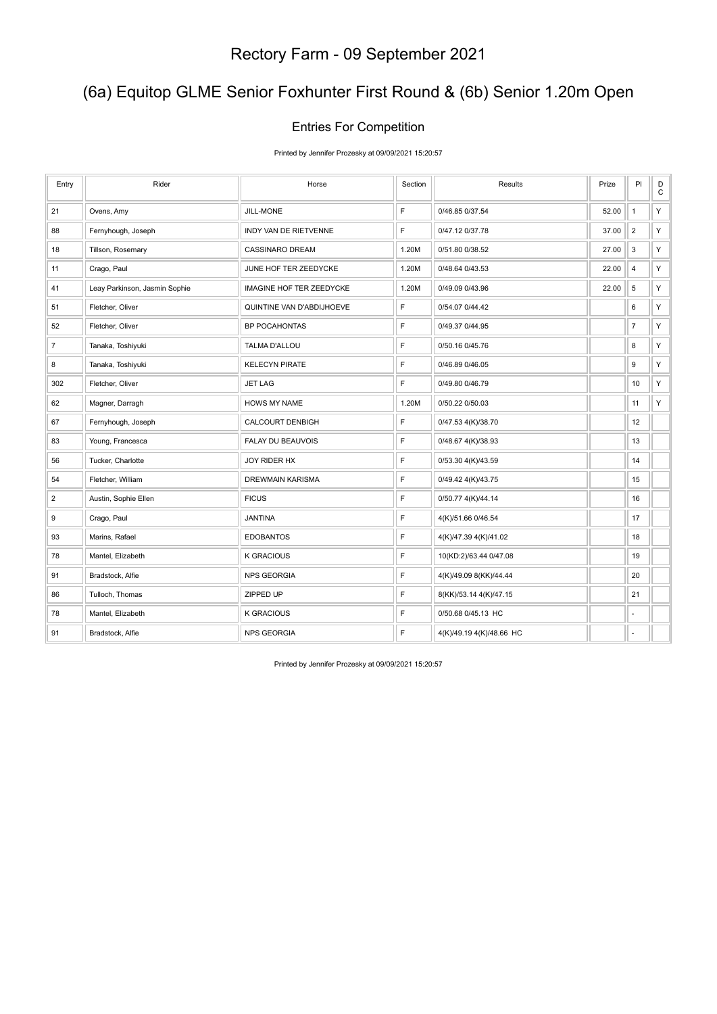## (6a) Equitop GLME Senior Foxhunter First Round & (6b) Senior 1.20m Open

#### Entries For Competition

Printed by Jennifer Prozesky at 09/09/2021 15:20:57

| Entry          | Rider                         | Horse                           | Section | Results                  | Prize | PI                      | $_{\rm C}^{\rm D}$ |
|----------------|-------------------------------|---------------------------------|---------|--------------------------|-------|-------------------------|--------------------|
| 21             | Ovens, Amy                    | JILL-MONE                       | F       | 0/46.85 0/37.54          | 52.00 | $\mathbf{1}$            | Y                  |
| 88             | Fernyhough, Joseph            | INDY VAN DE RIETVENNE           | F       | 0/47.12 0/37.78          | 37.00 | $\overline{2}$          | Y                  |
| 18             | Tillson, Rosemary             | <b>CASSINARO DREAM</b>          | 1.20M   | 0/51.80 0/38.52          | 27.00 | 3                       | Y                  |
| 11             | Crago, Paul                   | JUNE HOF TER ZEEDYCKE           | 1.20M   | 0/48.64 0/43.53          | 22.00 | $\overline{\mathbf{4}}$ | Y                  |
| 41             | Leay Parkinson, Jasmin Sophie | <b>IMAGINE HOF TER ZEEDYCKE</b> | 1.20M   | 0/49.09 0/43.96          | 22.00 | $\,$ 5 $\,$             | Y                  |
| 51             | Fletcher, Oliver              | QUINTINE VAN D'ABDIJHOEVE       | F       | 0/54.07 0/44.42          |       | 6                       | Y                  |
| 52             | Fletcher, Oliver              | <b>BP POCAHONTAS</b>            | F       | 0/49.37 0/44.95          |       | $\overline{7}$          | Y                  |
| $\overline{7}$ | Tanaka, Toshiyuki             | TALMA D'ALLOU                   | F       | 0/50.16 0/45.76          |       | 8                       | Y.                 |
| 8              | Tanaka, Toshiyuki             | <b>KELECYN PIRATE</b>           | F       | 0/46.89 0/46.05          |       | 9                       | Y                  |
| 302            | Fletcher, Oliver              | <b>JET LAG</b>                  | F       | 0/49.80 0/46.79          |       | 10                      | Y.                 |
| 62             | Magner, Darragh               | <b>HOWS MY NAME</b>             | 1.20M   | 0/50.22 0/50.03          |       | 11                      | Y                  |
| 67             | Fernyhough, Joseph            | CALCOURT DENBIGH                | F       | 0/47.53 4(K)/38.70       |       | 12                      |                    |
| 83             | Young, Francesca              | FALAY DU BEAUVOIS               | F       | 0/48.67 4(K)/38.93       |       | 13                      |                    |
| 56             | Tucker, Charlotte             | JOY RIDER HX                    | F       | 0/53.30 4(K)/43.59       |       | 14                      |                    |
| 54             | Fletcher, William             | DREWMAIN KARISMA                | F       | 0/49.42 4(K)/43.75       |       | 15                      |                    |
| $\overline{2}$ | Austin, Sophie Ellen          | <b>FICUS</b>                    | F       | 0/50.77 4(K)/44.14       |       | 16                      |                    |
| 9              | Crago, Paul                   | <b>JANTINA</b>                  | F       | 4(K)/51.66 0/46.54       |       | 17                      |                    |
| 93             | Marins, Rafael                | <b>EDOBANTOS</b>                | F       | 4(K)/47.39 4(K)/41.02    |       | 18                      |                    |
| 78             | Mantel, Elizabeth             | <b>K GRACIOUS</b>               | F       | 10(KD:2)/63.44 0/47.08   |       | 19                      |                    |
| 91             | Bradstock, Alfie              | <b>NPS GEORGIA</b>              | F       | 4(K)/49.09 8(KK)/44.44   |       | 20                      |                    |
| 86             | Tulloch, Thomas               | ZIPPED UP                       | F       | 8(KK)/53.14 4(K)/47.15   |       | 21                      |                    |
| 78             | Mantel, Elizabeth             | <b>K GRACIOUS</b>               | F       | 0/50.68 0/45.13 HC       |       | ÷.                      |                    |
| 91             | Bradstock, Alfie              | <b>NPS GEORGIA</b>              | F       | 4(K)/49.19 4(K)/48.66 HC |       | ٠                       |                    |

Printed by Jennifer Prozesky at 09/09/2021 15:20:57